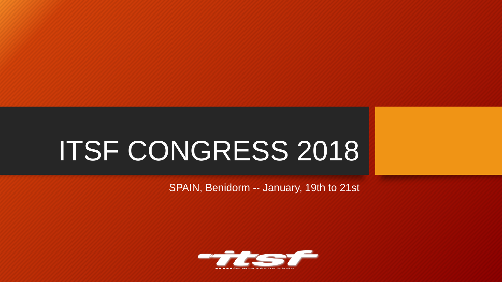# ITSF CONGRESS 2018

SPAIN, Benidorm -- January, 19th to 21st

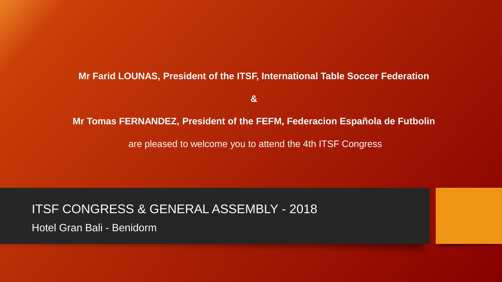### **Mr Farid LOUNAS, President of the ITSF, International Table Soccer Federation**

**&**

#### **Mr Tomas FERNANDEZ, President of the FEFM, Federacion Española de Futbolin**

are pleased to welcome you to attend the 4th ITSF Congress

## ITSF CONGRESS & GENERAL ASSEMBLY - 2018

Hotel Gran Bali - Benidorm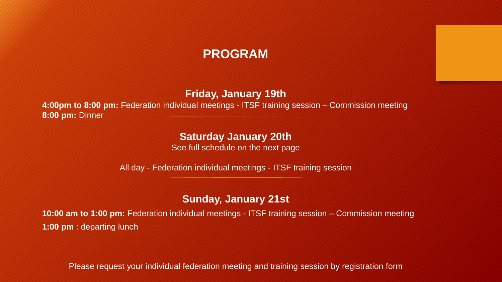## **PROGRAM**

**Friday, January 19th**

**4:00pm to 8:00 pm:** Federation individual meetings - ITSF training session – Commission meeting **8:00 pm:** Dinner

## **Saturday January 20th**

See full schedule on the next page

All day - Federation individual meetings - ITSF training session

## **Sunday, January 21st**

**10:00 am to 1:00 pm:** Federation individual meetings - ITSF training session – Commission meeting **1:00 pm** : departing lunch

Please request your individual federation meeting and training session by registration form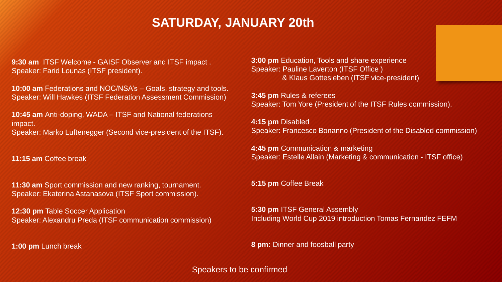# **SATURDAY, JANUARY 20th**

**9:30 am** ITSF Welcome - GAISF Observer and ITSF impact . Speaker: Farid Lounas (ITSF president).

**10:00 am** Federations and NOC/NSA's – Goals, strategy and tools. Speaker: Will Hawkes (ITSF Federation Assessment Commission)

**10:45 am** Anti-doping, WADA – ITSF and National federations impact. Speaker: Marko Luftenegger (Second vice-president of the ITSF).

**11:15 am** Coffee break

**11:30 am** Sport commission and new ranking, tournament. Speaker: Ekaterina Astanasova (ITSF Sport commission).

**12:30 pm** Table Soccer Application Speaker: Alexandru Preda (ITSF communication commission)

**1:00 pm** Lunch break

**3:00 pm** Education, Tools and share experience Speaker: Pauline Laverton (ITSF Office ) & Klaus Gottesleben (ITSF vice-president)

**3:45 pm** Rules & referees Speaker: Tom Yore (President of the ITSF Rules commission).

**4:15 pm** Disabled Speaker: Francesco Bonanno (President of the Disabled commission)

**4:45 pm** Communication & marketing Speaker: Estelle Allain (Marketing & communication - ITSF office)

**5:15 pm** Coffee Break

**5:30 pm** ITSF General Assembly Including World Cup 2019 introduction Tomas Fernandez FEFM

**8 pm:** Dinner and foosball party

Speakers to be confirmed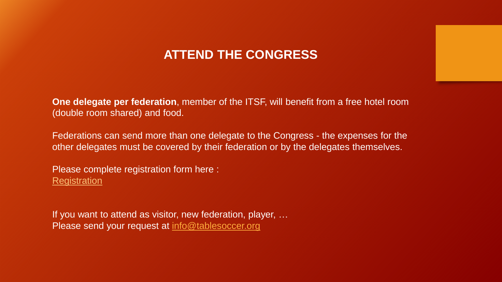# **ATTEND THE CONGRESS**

**One delegate per federation**, member of the ITSF, will benefit from a free hotel room (double room shared) and food.

Federations can send more than one delegate to the Congress - the expenses for the other delegates must be covered by their federation or by the delegates themselves.

Please complete registration form here : **[Registration](https://docs.google.com/forms/d/e/1FAIpQLSeZxeOF_AabGcU9n37UjLjXEZ6h6aCqadmCsMnhWqwWKsDZ6Q/viewform)** 

If you want to attend as visitor, new federation, player, … Please send your request at [info@tablesoccer.org](mailto:info@tablesoccer.org)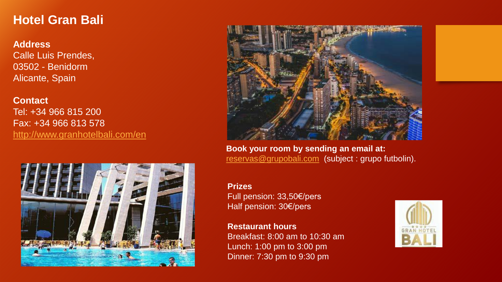## **Hotel Gran Bali**

**Address** Calle Luis Prendes, 03502 - Benidorm Alicante, Spain

**Contact** Tel: +34 966 815 200 Fax: +34 966 813 578 <http://www.granhotelbali.com/en>





**Book your room by sending an email at:** [reservas@grupobali.com](mailto:reservas@grupobali.com) (subject : grupo futbolin).

#### **Prizes**

Full pension: 33,50€/pers Half pension: 30€/pers

**Restaurant hours** Breakfast: 8:00 am to 10:30 am Lunch: 1:00 pm to 3:00 pm Dinner: 7:30 pm to 9:30 pm

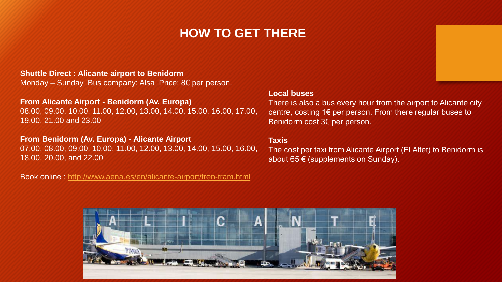# **HOW TO GET THERE**

#### **Shuttle Direct : Alicante airport to Benidorm**

Monday – Sunday Bus company: Alsa Price: 8€ per person.

#### **From Alicante Airport - Benidorm (Av. Europa)**

08.00, 09.00, 10.00, 11.00, 12.00, 13.00, 14.00, 15.00, 16.00, 17.00, 19.00, 21.00 and 23.00

#### **From Benidorm (Av. Europa) - Alicante Airport**

07.00, 08.00, 09.00, 10.00, 11.00, 12.00, 13.00, 14.00, 15.00, 16.00, 18.00, 20.00, and 22.00

Book online : <http://www.aena.es/en/alicante-airport/tren-tram.html>

#### **Local buses**

There is also a bus every hour from the airport to Alicante city centre, costing 1€ per person. From there regular buses to Benidorm cost 3€ per person.

#### **Taxis**

The cost per taxi from Alicante Airport (El Altet) to Benidorm is about 65  $\epsilon$  (supplements on Sunday).